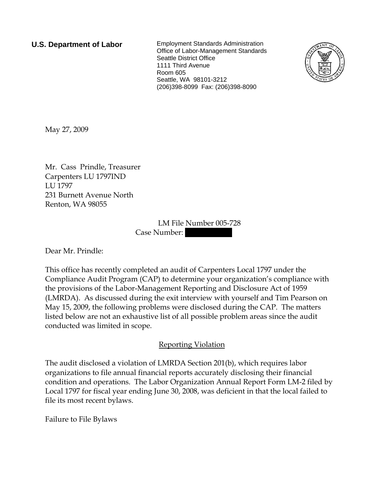**U.S. Department of Labor** Employment Standards Administration Office of Labor-Management Standards Seattle District Office 1111 Third Avenue Room 605 Seattle, WA 98101-3212 (206)398-8099 Fax: (206)398-8090



May 27, 2009

Mr. Cass Prindle, Treasurer Carpenters LU 1797IND LU 1797 231 Burnett Avenue North Renton, WA 98055

> LM File Number 005-728 Case Number:

Dear Mr. Prindle:

This office has recently completed an audit of Carpenters Local 1797 under the Compliance Audit Program (CAP) to determine your organization's compliance with the provisions of the Labor-Management Reporting and Disclosure Act of 1959 (LMRDA). As discussed during the exit interview with yourself and Tim Pearson on May 15, 2009, the following problems were disclosed during the CAP. The matters listed below are not an exhaustive list of all possible problem areas since the audit conducted was limited in scope.

## Reporting Violation

The audit disclosed a violation of LMRDA Section 201(b), which requires labor organizations to file annual financial reports accurately disclosing their financial condition and operations. The Labor Organization Annual Report Form LM-2 filed by Local 1797 for fiscal year ending June 30, 2008, was deficient in that the local failed to file its most recent bylaws.

Failure to File Bylaws